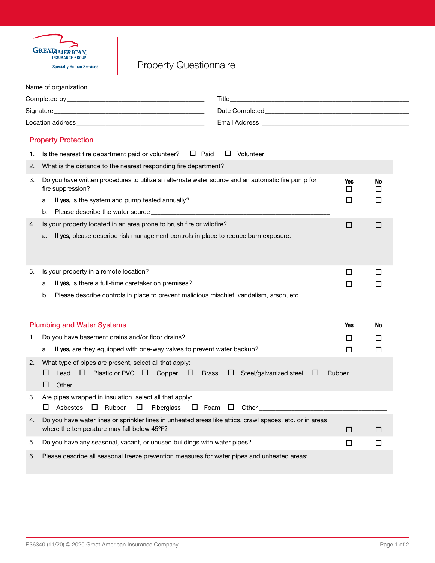

## Property Questionnaire

| <b>Title Second Contract Contract Contract Contract Contract Contract Contract Contract Contract Contract Contract Contract Contract Contract Contract Contract Contract Contract Contract Contract Contract Contract Contract</b><br>Signature experience and the state of the state of the state of the state of the state of the state of the state of the state of the state of the state of the state of the state of the state of the state of the state of th |         |  |
|----------------------------------------------------------------------------------------------------------------------------------------------------------------------------------------------------------------------------------------------------------------------------------------------------------------------------------------------------------------------------------------------------------------------------------------------------------------------|---------|--|
|                                                                                                                                                                                                                                                                                                                                                                                                                                                                      |         |  |
|                                                                                                                                                                                                                                                                                                                                                                                                                                                                      |         |  |
| Email Address National Address National Address National Address National Address National Address N                                                                                                                                                                                                                                                                                                                                                                 |         |  |
| <b>Property Protection</b>                                                                                                                                                                                                                                                                                                                                                                                                                                           |         |  |
| Is the nearest fire department paid or volunteer? $\Box$ Paid<br>$\Box$ Volunteer<br>1.                                                                                                                                                                                                                                                                                                                                                                              |         |  |
| 2.                                                                                                                                                                                                                                                                                                                                                                                                                                                                   |         |  |
| Do you have written procedures to utilize an alternate water source and an automatic fire pump for<br>3.<br>Yes<br>fire suppression?<br>□                                                                                                                                                                                                                                                                                                                            | No<br>□ |  |
| □<br>If yes, is the system and pump tested annually?<br>a.                                                                                                                                                                                                                                                                                                                                                                                                           | □       |  |
| b.                                                                                                                                                                                                                                                                                                                                                                                                                                                                   |         |  |
| Is your property located in an area prone to brush fire or wildfire?<br>4.<br>□                                                                                                                                                                                                                                                                                                                                                                                      | □       |  |
| If yes, please describe risk management controls in place to reduce burn exposure.<br>a.                                                                                                                                                                                                                                                                                                                                                                             |         |  |
|                                                                                                                                                                                                                                                                                                                                                                                                                                                                      |         |  |
|                                                                                                                                                                                                                                                                                                                                                                                                                                                                      |         |  |
| Is your property in a remote location?<br>5.<br>□<br>If yes, is there a full-time caretaker on premises?                                                                                                                                                                                                                                                                                                                                                             | □       |  |
| a.<br>□<br>Please describe controls in place to prevent malicious mischief, vandalism, arson, etc.<br>b.                                                                                                                                                                                                                                                                                                                                                             | □       |  |
|                                                                                                                                                                                                                                                                                                                                                                                                                                                                      |         |  |
|                                                                                                                                                                                                                                                                                                                                                                                                                                                                      |         |  |
| <b>Plumbing and Water Systems</b><br><b>Yes</b>                                                                                                                                                                                                                                                                                                                                                                                                                      | No      |  |
| Do you have basement drains and/or floor drains?<br>1.<br>□                                                                                                                                                                                                                                                                                                                                                                                                          | □       |  |
| If yes, are they equipped with one-way valves to prevent water backup?<br>a.<br>□                                                                                                                                                                                                                                                                                                                                                                                    | □       |  |
| What type of pipes are present, select all that apply:<br>2.                                                                                                                                                                                                                                                                                                                                                                                                         |         |  |
| Lead $\Box$ Plastic or PVC $\Box$ Copper $\Box$ Brass<br>⊔<br>$\Box$<br>Steel/galvanized steel<br>$\Box$<br>Rubber                                                                                                                                                                                                                                                                                                                                                   |         |  |
| □                                                                                                                                                                                                                                                                                                                                                                                                                                                                    |         |  |
| Are pipes wrapped in insulation, select all that apply:<br>З.                                                                                                                                                                                                                                                                                                                                                                                                        |         |  |
| Fiberglass<br>$\Box$ Foam $\Box$ Other<br>$\Box$ Rubber<br>ப<br>Asbestos<br>ш                                                                                                                                                                                                                                                                                                                                                                                        |         |  |
| Do you have water lines or sprinkler lines in unheated areas like attics, crawl spaces, etc. or in areas<br>4.<br>where the temperature may fall below 45°F?<br>□                                                                                                                                                                                                                                                                                                    | $\Box$  |  |
| Do you have any seasonal, vacant, or unused buildings with water pipes?<br>5.<br>□                                                                                                                                                                                                                                                                                                                                                                                   | □       |  |
|                                                                                                                                                                                                                                                                                                                                                                                                                                                                      |         |  |
| Please describe all seasonal freeze prevention measures for water pipes and unheated areas:<br>6.                                                                                                                                                                                                                                                                                                                                                                    |         |  |